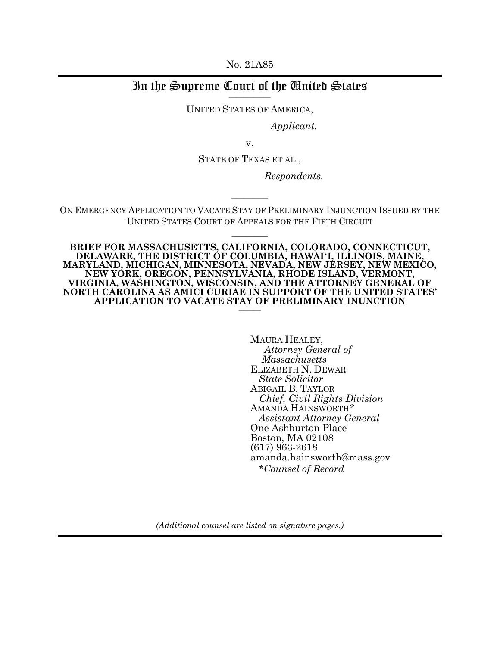No. 21A85

#### In the Supreme Court of the United States  $\overline{\phantom{a}}$  , where  $\overline{\phantom{a}}$

UNITED STATES OF AMERICA,

*Applicant,* 

v.

STATE OF TEXAS ET AL.,

*Respondents.*

ON EMERGENCY APPLICATION TO VACATE STAY OF PRELIMINARY INJUNCTION ISSUED BY THE UNITED STATES COURT OF APPEALS FOR THE FIFTH CIRCUIT

 $\overline{\phantom{a}}$   $\overline{\phantom{a}}$ 

 $\overline{\phantom{a}}$  , where  $\overline{\phantom{a}}$ 

**BRIEF FOR MASSACHUSETTS, CALIFORNIA, COLORADO, CONNECTICUT, DELAWARE, THE DISTRICT OF COLUMBIA, HAWAI**µ**I, ILLINOIS, MAINE, MARYLAND, MICHIGAN, MINNESOTA, NEVADA, NEW JERSEY, NEW MEXICO, NEW YORK, OREGON, PENNSYLVANIA, RHODE ISLAND, VERMONT, VIRGINIA, WASHINGTON, WISCONSIN, AND THE ATTORNEY GENERAL OF NORTH CAROLINA AS AMICI CURIAE IN SUPPORT OF THE UNITED STATES' APPLICATION TO VACATE STAY OF PRELIMINARY INUNCTION** \_\_\_\_\_\_\_\_\_

> MAURA HEALEY,<br>Attorney General of *Attorney General of Massachusetts* ELIZABETH N. DEWAR *State Solicitor* ABIGAIL B. TAYLOR *Chief, Civil Rights Division* AMANDA HAINSWORTH\* *Assistant Attorney General* One Ashburton Place Boston, MA 02108 (617) 963-2618 amanda.hainsworth@mass.gov  *\*Counsel of Record*

*(Additional counsel are listed on signature pages.)*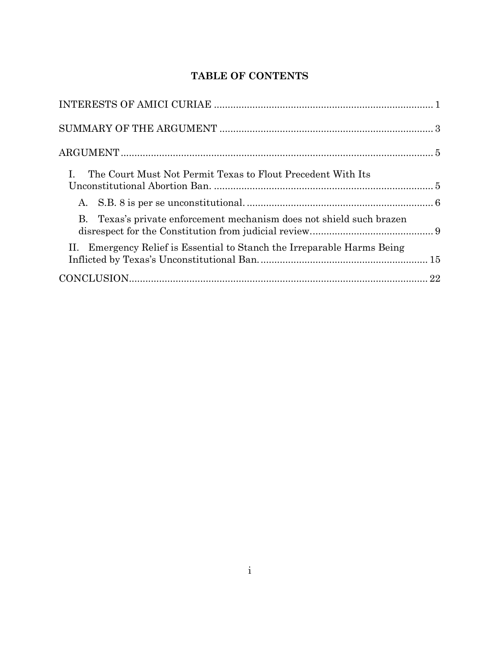# **TABLE OF CONTENTS**

| The Court Must Not Permit Texas to Flout Precedent With Its             |  |
|-------------------------------------------------------------------------|--|
|                                                                         |  |
| Texas's private enforcement mechanism does not shield such brazen<br>В. |  |
| II. Emergency Relief is Essential to Stanch the Irreparable Harms Being |  |
|                                                                         |  |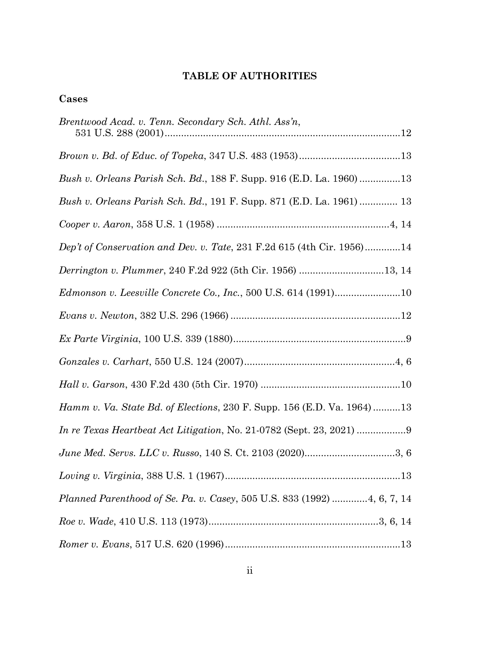## **TABLE OF AUTHORITIES**

## **Cases**

| Brentwood Acad. v. Tenn. Secondary Sch. Athl. Ass'n,                          |
|-------------------------------------------------------------------------------|
|                                                                               |
| Bush v. Orleans Parish Sch. Bd., 188 F. Supp. 916 (E.D. La. 1960)13           |
| Bush v. Orleans Parish Sch. Bd., 191 F. Supp. 871 (E.D. La. 1961)  13         |
|                                                                               |
| Dep't of Conservation and Dev. v. Tate, 231 F.2d 615 (4th Cir. 1956)14        |
| Derrington v. Plummer, 240 F.2d 922 (5th Cir. 1956) 13, 14                    |
|                                                                               |
|                                                                               |
|                                                                               |
|                                                                               |
|                                                                               |
| <i>Hamm v. Va. State Bd. of Elections, 230 F. Supp. 156 (E.D. Va. 1964)13</i> |
| In re Texas Heartbeat Act Litigation, No. 21-0782 (Sept. 23, 2021)            |
|                                                                               |
|                                                                               |
| Planned Parenthood of Se. Pa. v. Casey, 505 U.S. 833 (1992) 4, 6, 7, 14       |
|                                                                               |
| $Romer\ v.\ Evans, 517\ U.S.\ 620\ (1996)13$                                  |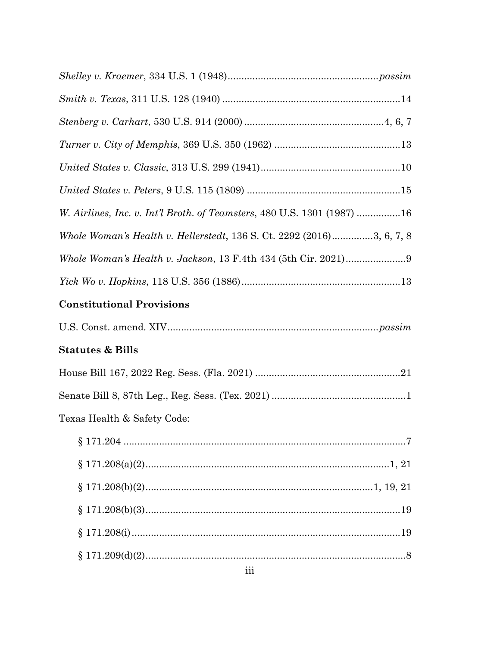| W. Airlines, Inc. v. Int'l Broth. of Teamsters, 480 U.S. 1301 (1987) 16 |
|-------------------------------------------------------------------------|
| Whole Woman's Health v. Hellerstedt, 136 S. Ct. 2292 (2016)3, 6, 7, 8   |
|                                                                         |
|                                                                         |
| <b>Constitutional Provisions</b>                                        |
|                                                                         |
| <b>Statutes &amp; Bills</b>                                             |
|                                                                         |
|                                                                         |
| Texas Health & Safety Code:                                             |
|                                                                         |
|                                                                         |
|                                                                         |
|                                                                         |
|                                                                         |
|                                                                         |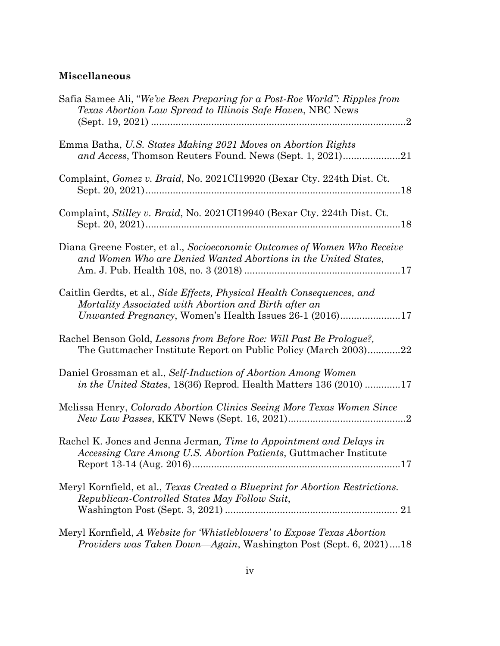# **Miscellaneous**

| Safia Samee Ali, "We've Been Preparing for a Post-Roe World": Ripples from<br>Texas Abortion Law Spread to Illinois Safe Haven, NBC News                                                    |
|---------------------------------------------------------------------------------------------------------------------------------------------------------------------------------------------|
| Emma Batha, U.S. States Making 2021 Moves on Abortion Rights<br>and Access, Thomson Reuters Found. News (Sept. 1, 2021)21                                                                   |
| Complaint, <i>Gomez v. Braid</i> , No. 2021CI19920 (Bexar Cty. 224th Dist. Ct.                                                                                                              |
| Complaint, Stilley v. Braid, No. 2021CI19940 (Bexar Cty. 224th Dist. Ct.                                                                                                                    |
| Diana Greene Foster, et al., Socioeconomic Outcomes of Women Who Receive<br>and Women Who are Denied Wanted Abortions in the United States,                                                 |
| Caitlin Gerdts, et al., Side Effects, Physical Health Consequences, and<br>Mortality Associated with Abortion and Birth after an<br>Unwanted Pregnancy, Women's Health Issues 26-1 (2016)17 |
| Rachel Benson Gold, Lessons from Before Roe: Will Past Be Prologue?,<br>The Guttmacher Institute Report on Public Policy (March 2003)22                                                     |
| Daniel Grossman et al., Self-Induction of Abortion Among Women<br>in the United States, 18(36) Reprod. Health Matters 136 (2010) 17                                                         |
| Melissa Henry, Colorado Abortion Clinics Seeing More Texas Women Since                                                                                                                      |
| Rachel K. Jones and Jenna Jerman, Time to Appointment and Delays in<br>Accessing Care Among U.S. Abortion Patients, Guttmacher Institute                                                    |
| Meryl Kornfield, et al., Texas Created a Blueprint for Abortion Restrictions.<br>Republican-Controlled States May Follow Suit,                                                              |
| Meryl Kornfield, A Website for 'Whistleblowers' to Expose Texas Abortion<br>Providers was Taken Down—Again, Washington Post (Sept. 6, 2021)18                                               |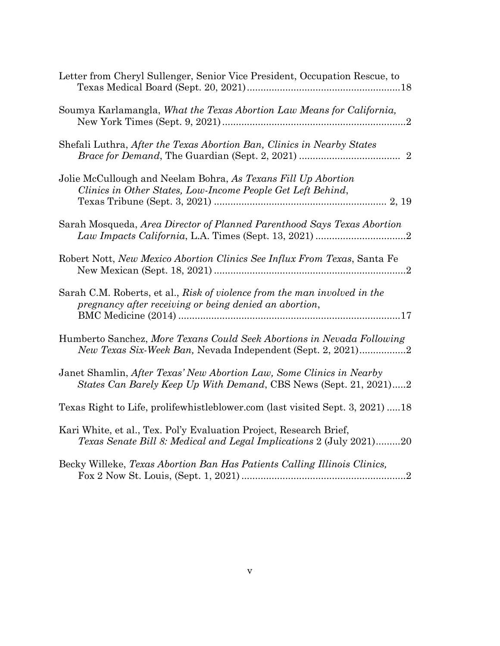| Letter from Cheryl Sullenger, Senior Vice President, Occupation Rescue, to                                                                       |
|--------------------------------------------------------------------------------------------------------------------------------------------------|
| Soumya Karlamangla, What the Texas Abortion Law Means for California,                                                                            |
| Shefali Luthra, After the Texas Abortion Ban, Clinics in Nearby States                                                                           |
| Jolie McCullough and Neelam Bohra, As Texans Fill Up Abortion<br>Clinics in Other States, Low-Income People Get Left Behind,                     |
| Sarah Mosqueda, Area Director of Planned Parenthood Says Texas Abortion                                                                          |
| Robert Nott, New Mexico Abortion Clinics See Influx From Texas, Santa Fe                                                                         |
| Sarah C.M. Roberts, et al., Risk of violence from the man involved in the<br>pregnancy after receiving or being denied an abortion,              |
| Humberto Sanchez, More Texans Could Seek Abortions in Nevada Following<br>New Texas Six-Week Ban, Nevada Independent (Sept. 2, 2021)2            |
| Janet Shamlin, After Texas' New Abortion Law, Some Clinics in Nearby<br>States Can Barely Keep Up With Demand, CBS News (Sept. 21, 2021)2        |
| Texas Right to Life, prolifewhistleblower.com (last visited Sept. 3, 2021) 18                                                                    |
| Kari White, et al., Tex. Pol'y Evaluation Project, Research Brief,<br><i>Texas Senate Bill 8: Medical and Legal Implications 2 (July 2021)20</i> |
| Becky Willeke, Texas Abortion Ban Has Patients Calling Illinois Clinics,                                                                         |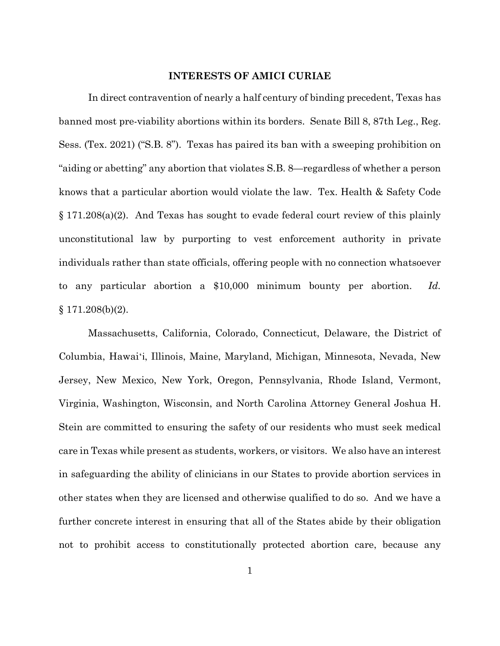#### **INTERESTS OF AMICI CURIAE**

In direct contravention of nearly a half century of binding precedent, Texas has banned most pre-viability abortions within its borders. Senate Bill 8, 87th Leg., Reg. Sess. (Tex. 2021) ("S.B. 8"). Texas has paired its ban with a sweeping prohibition on "aiding or abetting" any abortion that violates S.B. 8—regardless of whether a person knows that a particular abortion would violate the law. Tex. Health & Safety Code § 171.208(a)(2). And Texas has sought to evade federal court review of this plainly unconstitutional law by purporting to vest enforcement authority in private individuals rather than state officials, offering people with no connection whatsoever to any particular abortion a \$10,000 minimum bounty per abortion. *Id.* § 171.208(b)(2).

Massachusetts, California, Colorado, Connecticut, Delaware, the District of Columbia, Hawai'i, Illinois, Maine, Maryland, Michigan, Minnesota, Nevada, New Jersey, New Mexico, New York, Oregon, Pennsylvania, Rhode Island, Vermont, Virginia, Washington, Wisconsin, and North Carolina Attorney General Joshua H. Stein are committed to ensuring the safety of our residents who must seek medical care in Texas while present as students, workers, or visitors. We also have an interest in safeguarding the ability of clinicians in our States to provide abortion services in other states when they are licensed and otherwise qualified to do so. And we have a further concrete interest in ensuring that all of the States abide by their obligation not to prohibit access to constitutionally protected abortion care, because any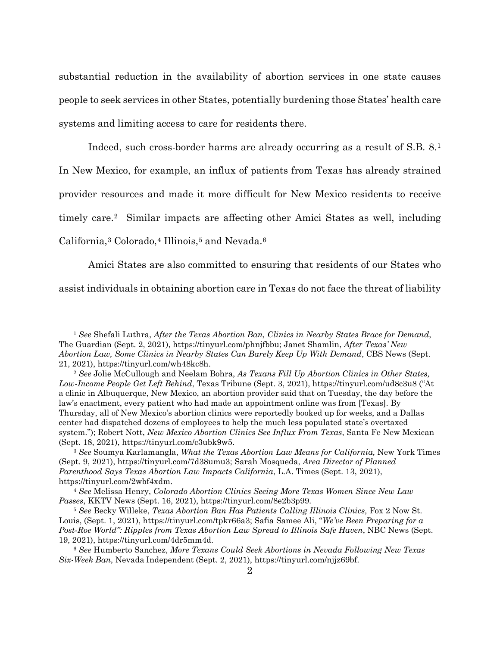substantial reduction in the availability of abortion services in one state causes people to seek services in other States, potentially burdening those States' health care systems and limiting access to care for residents there.

Indeed, such cross-border harms are already occurring as a result of S.B. 8.1 In New Mexico, for example, an influx of patients from Texas has already strained provider resources and made it more difficult for New Mexico residents to receive timely care.2 Similar impacts are affecting other Amici States as well, including California,<sup>3</sup> Colorado,<sup>4</sup> Illinois,<sup>5</sup> and Nevada.<sup>6</sup>

Amici States are also committed to ensuring that residents of our States who assist individuals in obtaining abortion care in Texas do not face the threat of liability

<sup>1</sup> *See* Shefali Luthra, *After the Texas Abortion Ban, Clinics in Nearby States Brace for Demand*, The Guardian (Sept. 2, 2021), https://tinyurl.com/phnjfbbu; Janet Shamlin, *After Texas' New Abortion Law, Some Clinics in Nearby States Can Barely Keep Up With Demand*, CBS News (Sept. 21, 2021), https://tinyurl.com/wh48kc8h. 2 *See* Jolie McCullough and Neelam Bohra, *As Texans Fill Up Abortion Clinics in Other States,* 

*Low-Income People Get Left Behind*, Texas Tribune (Sept. 3, 2021), https://tinyurl.com/ud8c3u8 ("At a clinic in Albuquerque, New Mexico, an abortion provider said that on Tuesday, the day before the law's enactment, every patient who had made an appointment online was from [Texas]. By Thursday, all of New Mexico's abortion clinics were reportedly booked up for weeks, and a Dallas center had dispatched dozens of employees to help the much less populated state's overtaxed system."); Robert Nott, *New Mexico Abortion Clinics See Influx From Texas*, Santa Fe New Mexican (Sept. 18, 2021), https://tinyurl.com/c3ubk9w5. 3 *See* Soumya Karlamangla, *What the Texas Abortion Law Means for California,* New York Times

<sup>(</sup>Sept. 9, 2021), https://tinyurl.com/7d38umu3; Sarah Mosqueda, *Area Director of Planned Parenthood Says Texas Abortion Law Impacts California*, L.A. Times (Sept. 13, 2021), https://tinyurl.com/2wbf4xdm. 4 *See* Melissa Henry, *Colorado Abortion Clinics Seeing More Texas Women Since New Law* 

*Passes*, KKTV News (Sept. 16, 2021), https://tinyurl.com/8e2b3p99.<br><sup>5</sup> *See* Becky Willeke, *Texas Abortion Ban Has Patients Calling Illinois Clinics*, Fox 2 Now St.

Louis, (Sept. 1, 2021), https://tinyurl.com/tpkr66a3; Safia Samee Ali, "*We've Been Preparing for a Post-Roe World": Ripples from Texas Abortion Law Spread to Illinois Safe Haven*, NBC News (Sept. 19, 2021), https://tinyurl.com/4dr5mm4d. 6 *See* Humberto Sanchez, *More Texans Could Seek Abortions in Nevada Following New Texas* 

*Six-Week Ban,* Nevada Independent (Sept. 2, 2021), https://tinyurl.com/njjz69bf.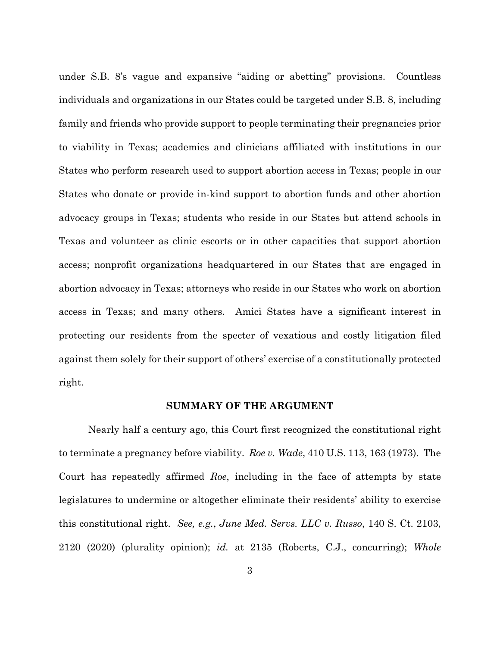under S.B. 8's vague and expansive "aiding or abetting" provisions. Countless individuals and organizations in our States could be targeted under S.B. 8, including family and friends who provide support to people terminating their pregnancies prior to viability in Texas; academics and clinicians affiliated with institutions in our States who perform research used to support abortion access in Texas; people in our States who donate or provide in-kind support to abortion funds and other abortion advocacy groups in Texas; students who reside in our States but attend schools in Texas and volunteer as clinic escorts or in other capacities that support abortion access; nonprofit organizations headquartered in our States that are engaged in abortion advocacy in Texas; attorneys who reside in our States who work on abortion access in Texas; and many others. Amici States have a significant interest in protecting our residents from the specter of vexatious and costly litigation filed against them solely for their support of others' exercise of a constitutionally protected right.

#### **SUMMARY OF THE ARGUMENT**

Nearly half a century ago, this Court first recognized the constitutional right to terminate a pregnancy before viability. *Roe v. Wade*, 410 U.S. 113, 163 (1973). The Court has repeatedly affirmed *Roe*, including in the face of attempts by state legislatures to undermine or altogether eliminate their residents' ability to exercise this constitutional right. *See, e.g.*, *June Med. Servs. LLC v. Russo*, 140 S. Ct. 2103, 2120 (2020) (plurality opinion); *id.* at 2135 (Roberts, C.J., concurring); *Whole*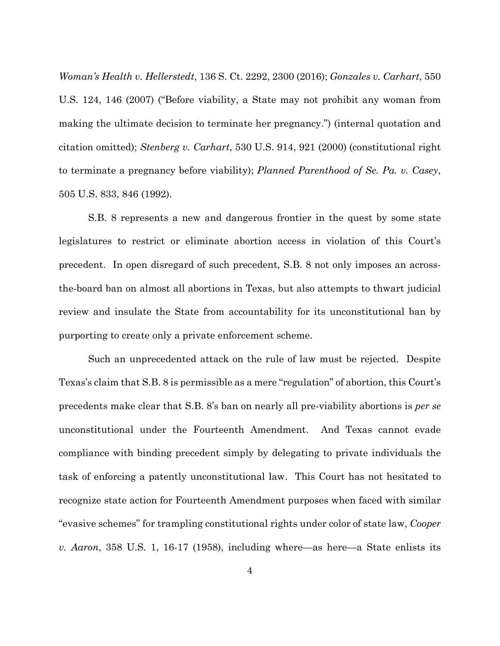*Woman's Health v. Hellerstedt*, 136 S. Ct. 2292, 2300 (2016); *Gonzales v. Carhart*, 550 U.S. 124, 146 (2007) ("Before viability, a State may not prohibit any woman from making the ultimate decision to terminate her pregnancy.") (internal quotation and citation omitted); *Stenberg v. Carhart*, 530 U.S. 914, 921 (2000) (constitutional right to terminate a pregnancy before viability); *Planned Parenthood of Se. Pa. v. Casey*, 505 U.S. 833, 846 (1992).

S.B. 8 represents a new and dangerous frontier in the quest by some state legislatures to restrict or eliminate abortion access in violation of this Court's precedent. In open disregard of such precedent, S.B. 8 not only imposes an acrossthe-board ban on almost all abortions in Texas, but also attempts to thwart judicial review and insulate the State from accountability for its unconstitutional ban by purporting to create only a private enforcement scheme.

Such an unprecedented attack on the rule of law must be rejected. Despite Texas's claim that S.B. 8 is permissible as a mere "regulation" of abortion, this Court's precedents make clear that S.B. 8's ban on nearly all pre-viability abortions is *per se* unconstitutional under the Fourteenth Amendment. And Texas cannot evade compliance with binding precedent simply by delegating to private individuals the task of enforcing a patently unconstitutional law. This Court has not hesitated to recognize state action for Fourteenth Amendment purposes when faced with similar "evasive schemes" for trampling constitutional rights under color of state law, *Cooper v. Aaron*, 358 U.S. 1, 16-17 (1958), including where—as here—a State enlists its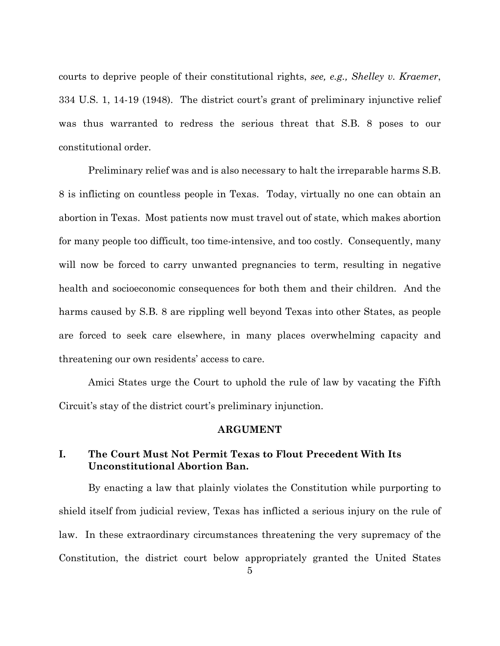courts to deprive people of their constitutional rights, *see, e.g., Shelley v. Kraemer*, 334 U.S. 1, 14-19 (1948). The district court's grant of preliminary injunctive relief was thus warranted to redress the serious threat that S.B. 8 poses to our constitutional order.

Preliminary relief was and is also necessary to halt the irreparable harms S.B. 8 is inflicting on countless people in Texas. Today, virtually no one can obtain an abortion in Texas. Most patients now must travel out of state, which makes abortion for many people too difficult, too time-intensive, and too costly. Consequently, many will now be forced to carry unwanted pregnancies to term, resulting in negative health and socioeconomic consequences for both them and their children. And the harms caused by S.B. 8 are rippling well beyond Texas into other States, as people are forced to seek care elsewhere, in many places overwhelming capacity and threatening our own residents' access to care.

Amici States urge the Court to uphold the rule of law by vacating the Fifth Circuit's stay of the district court's preliminary injunction.

#### **ARGUMENT**

## **I. The Court Must Not Permit Texas to Flout Precedent With Its Unconstitutional Abortion Ban.**

By enacting a law that plainly violates the Constitution while purporting to shield itself from judicial review, Texas has inflicted a serious injury on the rule of law. In these extraordinary circumstances threatening the very supremacy of the Constitution, the district court below appropriately granted the United States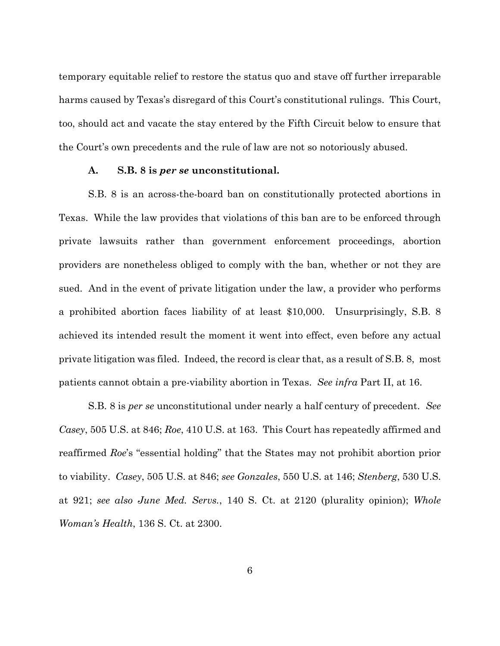temporary equitable relief to restore the status quo and stave off further irreparable harms caused by Texas's disregard of this Court's constitutional rulings. This Court, too, should act and vacate the stay entered by the Fifth Circuit below to ensure that the Court's own precedents and the rule of law are not so notoriously abused.

#### **A. S.B. 8 is** *per se* **unconstitutional.**

S.B. 8 is an across-the-board ban on constitutionally protected abortions in Texas. While the law provides that violations of this ban are to be enforced through private lawsuits rather than government enforcement proceedings, abortion providers are nonetheless obliged to comply with the ban, whether or not they are sued. And in the event of private litigation under the law, a provider who performs a prohibited abortion faces liability of at least \$10,000. Unsurprisingly, S.B. 8 achieved its intended result the moment it went into effect, even before any actual private litigation was filed. Indeed, the record is clear that, as a result of S.B. 8, most patients cannot obtain a pre-viability abortion in Texas. *See infra* Part II, at 16.

S.B. 8 is *per se* unconstitutional under nearly a half century of precedent. *See Casey*, 505 U.S. at 846; *Roe*, 410 U.S. at 163. This Court has repeatedly affirmed and reaffirmed *Roe*'s "essential holding" that the States may not prohibit abortion prior to viability. *Casey*, 505 U.S. at 846; *see Gonzales*, 550 U.S. at 146; *Stenberg*, 530 U.S. at 921; *see also June Med. Servs.*, 140 S. Ct. at 2120 (plurality opinion); *Whole Woman's Health*, 136 S. Ct. at 2300.

6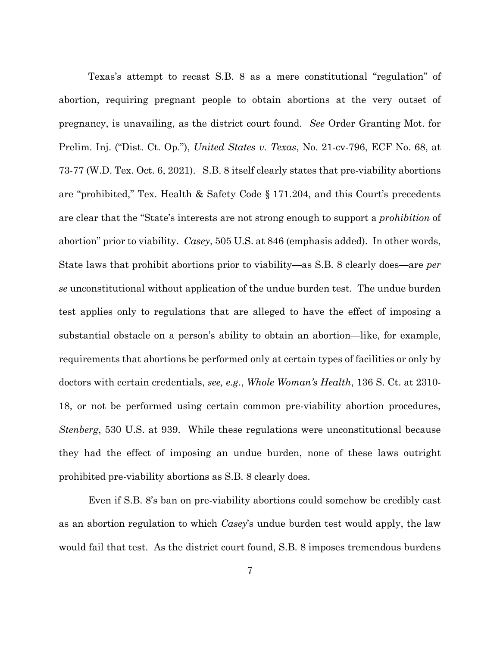Texas's attempt to recast S.B. 8 as a mere constitutional "regulation" of abortion, requiring pregnant people to obtain abortions at the very outset of pregnancy, is unavailing, as the district court found. *See* Order Granting Mot. for Prelim. Inj. ("Dist. Ct. Op."), *United States v. Texas*, No. 21-cv-796, ECF No. 68, at 73-77 (W.D. Tex. Oct. 6, 2021). S.B. 8 itself clearly states that pre-viability abortions are "prohibited," Tex. Health & Safety Code § 171.204, and this Court's precedents are clear that the "State's interests are not strong enough to support a *prohibition* of abortion" prior to viability. *Casey*, 505 U.S. at 846 (emphasis added). In other words, State laws that prohibit abortions prior to viability—as S.B. 8 clearly does—are *per se* unconstitutional without application of the undue burden test. The undue burden test applies only to regulations that are alleged to have the effect of imposing a substantial obstacle on a person's ability to obtain an abortion—like, for example, requirements that abortions be performed only at certain types of facilities or only by doctors with certain credentials, *see, e.g.*, *Whole Woman's Health*, 136 S. Ct. at 2310- 18, or not be performed using certain common pre-viability abortion procedures, *Stenberg*, 530 U.S. at 939. While these regulations were unconstitutional because they had the effect of imposing an undue burden, none of these laws outright prohibited pre-viability abortions as S.B. 8 clearly does.

Even if S.B. 8's ban on pre-viability abortions could somehow be credibly cast as an abortion regulation to which *Casey*'s undue burden test would apply, the law would fail that test. As the district court found, S.B. 8 imposes tremendous burdens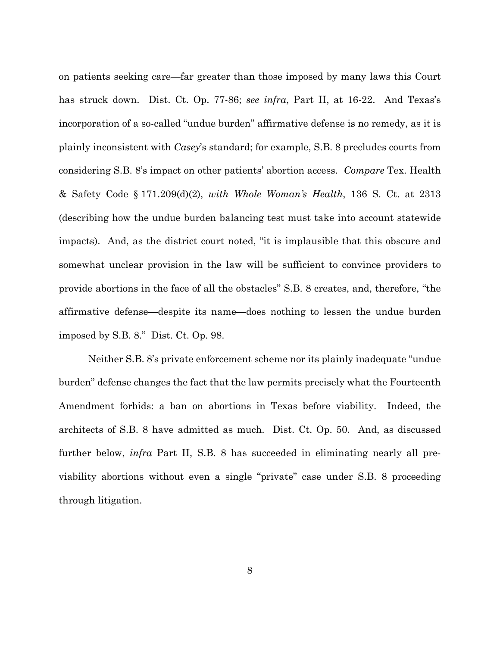on patients seeking care—far greater than those imposed by many laws this Court has struck down. Dist. Ct. Op. 77-86; *see infra*, Part II, at 16-22. And Texas's incorporation of a so-called "undue burden" affirmative defense is no remedy, as it is plainly inconsistent with *Casey*'s standard; for example, S.B. 8 precludes courts from considering S.B. 8's impact on other patients' abortion access. *Compare* Tex. Health & Safety Code § 171.209(d)(2), *with Whole Woman's Health*, 136 S. Ct. at 2313 (describing how the undue burden balancing test must take into account statewide impacts). And, as the district court noted, "it is implausible that this obscure and somewhat unclear provision in the law will be sufficient to convince providers to provide abortions in the face of all the obstacles" S.B. 8 creates, and, therefore, "the affirmative defense—despite its name—does nothing to lessen the undue burden imposed by S.B. 8." Dist. Ct. Op. 98.

 Neither S.B. 8's private enforcement scheme nor its plainly inadequate "undue burden" defense changes the fact that the law permits precisely what the Fourteenth Amendment forbids: a ban on abortions in Texas before viability. Indeed, the architects of S.B. 8 have admitted as much. Dist. Ct. Op. 50. And, as discussed further below, *infra* Part II, S.B. 8 has succeeded in eliminating nearly all previability abortions without even a single "private" case under S.B. 8 proceeding through litigation.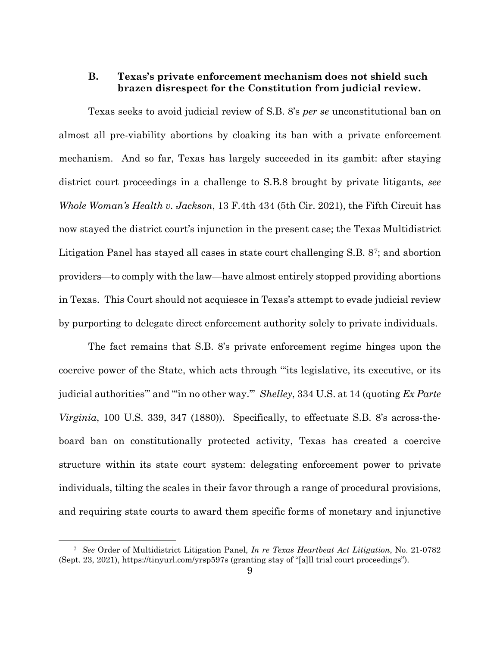## **B. Texas's private enforcement mechanism does not shield such brazen disrespect for the Constitution from judicial review.**

Texas seeks to avoid judicial review of S.B. 8's *per se* unconstitutional ban on almost all pre-viability abortions by cloaking its ban with a private enforcement mechanism. And so far, Texas has largely succeeded in its gambit: after staying district court proceedings in a challenge to S.B.8 brought by private litigants, *see Whole Woman's Health v. Jackson*, 13 F.4th 434 (5th Cir. 2021), the Fifth Circuit has now stayed the district court's injunction in the present case; the Texas Multidistrict Litigation Panel has stayed all cases in state court challenging S.B. 87; and abortion providers—to comply with the law—have almost entirely stopped providing abortions in Texas. This Court should not acquiesce in Texas's attempt to evade judicial review by purporting to delegate direct enforcement authority solely to private individuals.

The fact remains that S.B. 8's private enforcement regime hinges upon the coercive power of the State, which acts through "'its legislative, its executive, or its judicial authorities'" and "'in no other way.'" *Shelley*, 334 U.S. at 14 (quoting *Ex Parte Virginia*, 100 U.S. 339, 347 (1880)). Specifically, to effectuate S.B. 8's across-theboard ban on constitutionally protected activity, Texas has created a coercive structure within its state court system: delegating enforcement power to private individuals, tilting the scales in their favor through a range of procedural provisions, and requiring state courts to award them specific forms of monetary and injunctive

<sup>7</sup> *See* Order of Multidistrict Litigation Panel, *In re Texas Heartbeat Act Litigation*, No. 21-0782 (Sept. 23, 2021), https://tinyurl.com/yrsp597s (granting stay of "[a]ll trial court proceedings").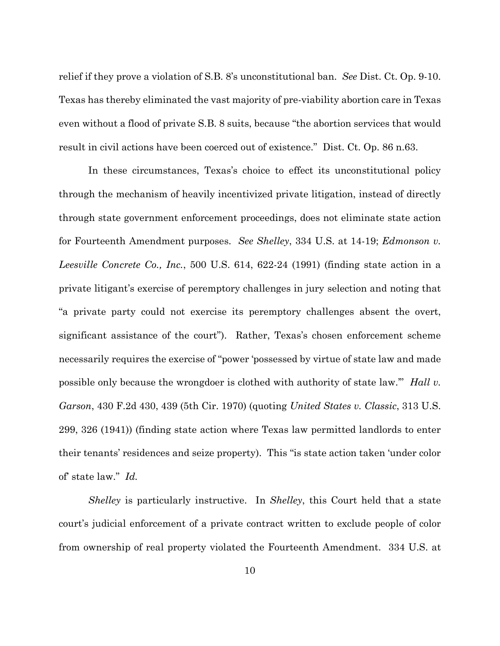relief if they prove a violation of S.B. 8's unconstitutional ban. *See* Dist. Ct. Op. 9-10. Texas has thereby eliminated the vast majority of pre-viability abortion care in Texas even without a flood of private S.B. 8 suits, because "the abortion services that would result in civil actions have been coerced out of existence." Dist. Ct. Op. 86 n.63.

In these circumstances, Texas's choice to effect its unconstitutional policy through the mechanism of heavily incentivized private litigation, instead of directly through state government enforcement proceedings, does not eliminate state action for Fourteenth Amendment purposes. *See Shelley*, 334 U.S. at 14-19; *Edmonson v. Leesville Concrete Co., Inc.*, 500 U.S. 614, 622-24 (1991) (finding state action in a private litigant's exercise of peremptory challenges in jury selection and noting that "a private party could not exercise its peremptory challenges absent the overt, significant assistance of the court"). Rather, Texas's chosen enforcement scheme necessarily requires the exercise of "power 'possessed by virtue of state law and made possible only because the wrongdoer is clothed with authority of state law.'" *Hall v. Garson*, 430 F.2d 430, 439 (5th Cir. 1970) (quoting *United States v. Classic*, 313 U.S. 299, 326 (1941)) (finding state action where Texas law permitted landlords to enter their tenants' residences and seize property). This "is state action taken 'under color of' state law." *Id.*

*Shelley* is particularly instructive. In *Shelley*, this Court held that a state court's judicial enforcement of a private contract written to exclude people of color from ownership of real property violated the Fourteenth Amendment. 334 U.S. at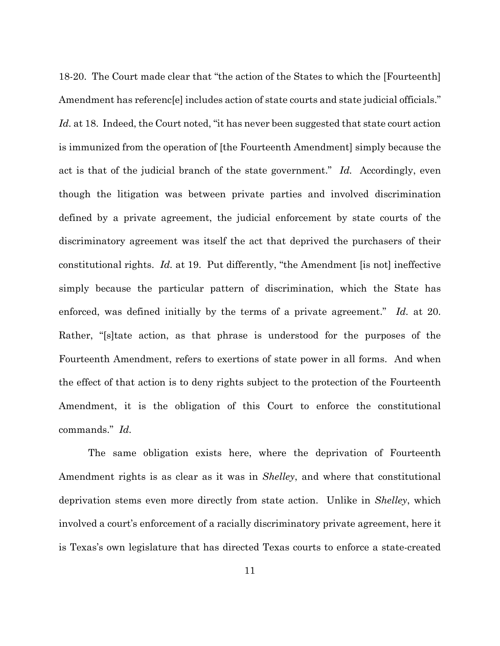18-20. The Court made clear that "the action of the States to which the [Fourteenth] Amendment has reference includes action of state courts and state judicial officials." Id. at 18. Indeed, the Court noted, "it has never been suggested that state court action is immunized from the operation of [the Fourteenth Amendment] simply because the act is that of the judicial branch of the state government." *Id.* Accordingly, even though the litigation was between private parties and involved discrimination defined by a private agreement, the judicial enforcement by state courts of the discriminatory agreement was itself the act that deprived the purchasers of their constitutional rights. *Id.* at 19. Put differently, "the Amendment [is not] ineffective simply because the particular pattern of discrimination, which the State has enforced, was defined initially by the terms of a private agreement." *Id.* at 20. Rather, "[s]tate action, as that phrase is understood for the purposes of the Fourteenth Amendment, refers to exertions of state power in all forms. And when the effect of that action is to deny rights subject to the protection of the Fourteenth Amendment, it is the obligation of this Court to enforce the constitutional commands." *Id.* 

The same obligation exists here, where the deprivation of Fourteenth Amendment rights is as clear as it was in *Shelley*, and where that constitutional deprivation stems even more directly from state action. Unlike in *Shelley*, which involved a court's enforcement of a racially discriminatory private agreement, here it is Texas's own legislature that has directed Texas courts to enforce a state-created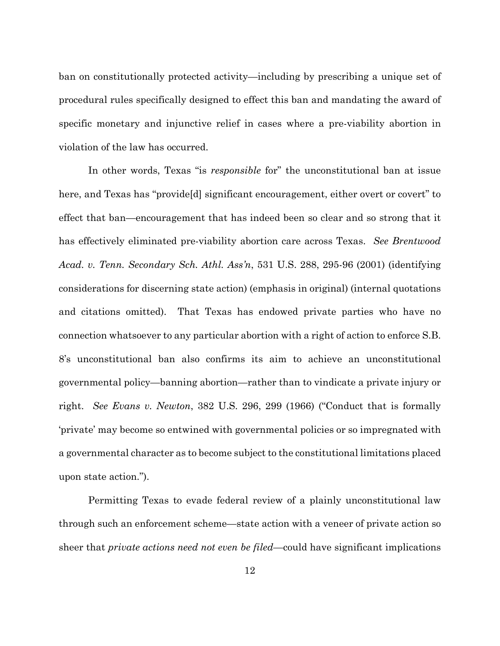ban on constitutionally protected activity—including by prescribing a unique set of procedural rules specifically designed to effect this ban and mandating the award of specific monetary and injunctive relief in cases where a pre-viability abortion in violation of the law has occurred.

In other words, Texas "is *responsible* for" the unconstitutional ban at issue here, and Texas has "provide[d] significant encouragement, either overt or covert" to effect that ban—encouragement that has indeed been so clear and so strong that it has effectively eliminated pre-viability abortion care across Texas. *See Brentwood Acad. v. Tenn. Secondary Sch. Athl. Ass'n*, 531 U.S. 288, 295-96 (2001) (identifying considerations for discerning state action) (emphasis in original) (internal quotations and citations omitted). That Texas has endowed private parties who have no connection whatsoever to any particular abortion with a right of action to enforce S.B. 8's unconstitutional ban also confirms its aim to achieve an unconstitutional governmental policy—banning abortion—rather than to vindicate a private injury or right. *See Evans v. Newton*, 382 U.S. 296, 299 (1966) ("Conduct that is formally 'private' may become so entwined with governmental policies or so impregnated with a governmental character as to become subject to the constitutional limitations placed upon state action.").

Permitting Texas to evade federal review of a plainly unconstitutional law through such an enforcement scheme—state action with a veneer of private action so sheer that *private actions need not even be filed*—could have significant implications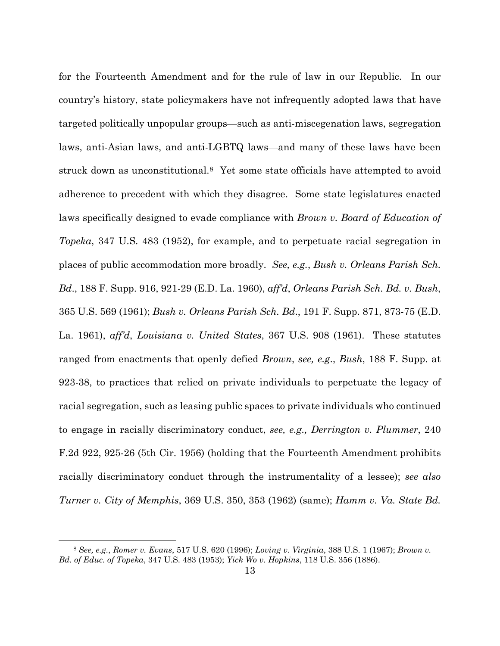for the Fourteenth Amendment and for the rule of law in our Republic. In our country's history, state policymakers have not infrequently adopted laws that have targeted politically unpopular groups—such as anti-miscegenation laws, segregation laws, anti-Asian laws, and anti-LGBTQ laws—and many of these laws have been struck down as unconstitutional.8 Yet some state officials have attempted to avoid adherence to precedent with which they disagree. Some state legislatures enacted laws specifically designed to evade compliance with *Brown v. Board of Education of Topeka*, 347 U.S. 483 (1952), for example, and to perpetuate racial segregation in places of public accommodation more broadly. *See, e.g.*, *Bush v. Orleans Parish Sch. Bd*., 188 F. Supp. 916, 921-29 (E.D. La. 1960), *aff'd*, *Orleans Parish Sch. Bd. v. Bush*, 365 U.S. 569 (1961); *Bush v. Orleans Parish Sch. Bd*., 191 F. Supp. 871, 873-75 (E.D. La. 1961), *aff'd*, *Louisiana v. United States*, 367 U.S. 908 (1961). These statutes ranged from enactments that openly defied *Brown*, *see, e.g*., *Bush*, 188 F. Supp. at 923-38, to practices that relied on private individuals to perpetuate the legacy of racial segregation, such as leasing public spaces to private individuals who continued to engage in racially discriminatory conduct, *see, e.g., Derrington v. Plummer*, 240 F.2d 922, 925-26 (5th Cir. 1956) (holding that the Fourteenth Amendment prohibits racially discriminatory conduct through the instrumentality of a lessee); *see also Turner v. City of Memphis*, 369 U.S. 350, 353 (1962) (same); *Hamm v. Va. State Bd.* 

<sup>8</sup> *See, e.g.*, *Romer v. Evans*, 517 U.S. 620 (1996); *Loving v. Virginia*, 388 U.S. 1 (1967); *Brown v. Bd. of Educ. of Topeka*, 347 U.S. 483 (1953); *Yick Wo v. Hopkins*, 118 U.S. 356 (1886).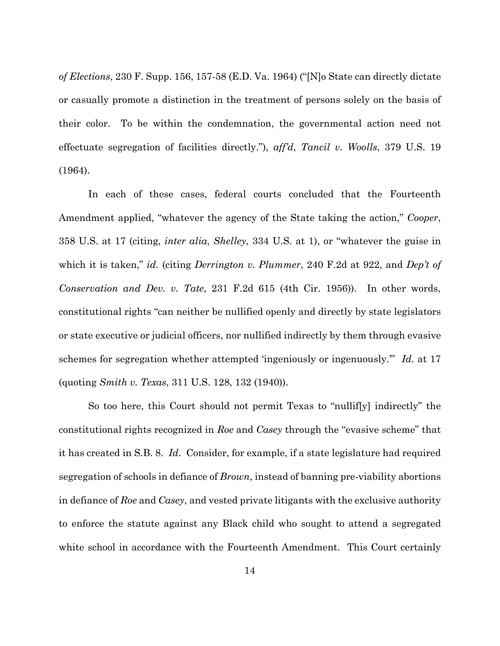*of Elections*, 230 F. Supp. 156, 157-58 (E.D. Va. 1964) ("[N]o State can directly dictate or casually promote a distinction in the treatment of persons solely on the basis of their color. To be within the condemnation, the governmental action need not effectuate segregation of facilities directly."), *aff'd*, *Tancil v. Woolls*, 379 U.S. 19 (1964).

In each of these cases, federal courts concluded that the Fourteenth Amendment applied, "whatever the agency of the State taking the action," *Cooper*, 358 U.S. at 17 (citing, *inter alia*, *Shelley*, 334 U.S. at 1), or "whatever the guise in which it is taken," *id.* (citing *Derrington v. Plummer*, 240 F.2d at 922, and *Dep't of Conservation and Dev. v. Tate*, 231 F.2d 615 (4th Cir. 1956)). In other words, constitutional rights "can neither be nullified openly and directly by state legislators or state executive or judicial officers, nor nullified indirectly by them through evasive schemes for segregation whether attempted 'ingeniously or ingenuously.'" *Id.* at 17 (quoting *Smith v. Texas*, 311 U.S. 128, 132 (1940)).

So too here, this Court should not permit Texas to "nullif[y] indirectly" the constitutional rights recognized in *Roe* and *Casey* through the "evasive scheme" that it has created in S.B. 8. *Id*. Consider, for example, if a state legislature had required segregation of schools in defiance of *Brown*, instead of banning pre-viability abortions in defiance of *Roe* and *Casey*, and vested private litigants with the exclusive authority to enforce the statute against any Black child who sought to attend a segregated white school in accordance with the Fourteenth Amendment. This Court certainly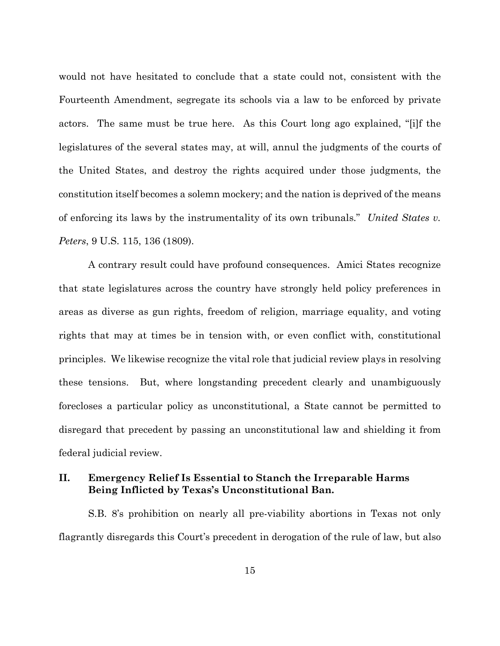would not have hesitated to conclude that a state could not, consistent with the Fourteenth Amendment, segregate its schools via a law to be enforced by private actors. The same must be true here. As this Court long ago explained, "[i]f the legislatures of the several states may, at will, annul the judgments of the courts of the United States, and destroy the rights acquired under those judgments, the constitution itself becomes a solemn mockery; and the nation is deprived of the means of enforcing its laws by the instrumentality of its own tribunals." *United States v. Peters*, 9 U.S. 115, 136 (1809).

A contrary result could have profound consequences. Amici States recognize that state legislatures across the country have strongly held policy preferences in areas as diverse as gun rights, freedom of religion, marriage equality, and voting rights that may at times be in tension with, or even conflict with, constitutional principles. We likewise recognize the vital role that judicial review plays in resolving these tensions. But, where longstanding precedent clearly and unambiguously forecloses a particular policy as unconstitutional, a State cannot be permitted to disregard that precedent by passing an unconstitutional law and shielding it from federal judicial review.

## **II. Emergency Relief Is Essential to Stanch the Irreparable Harms Being Inflicted by Texas's Unconstitutional Ban.**

S.B. 8's prohibition on nearly all pre-viability abortions in Texas not only flagrantly disregards this Court's precedent in derogation of the rule of law, but also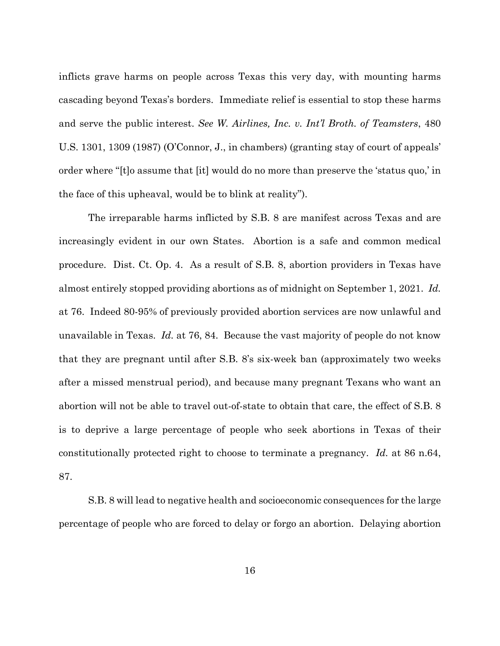inflicts grave harms on people across Texas this very day, with mounting harms cascading beyond Texas's borders. Immediate relief is essential to stop these harms and serve the public interest. *See W. Airlines, Inc. v. Int'l Broth. of Teamsters*, 480 U.S. 1301, 1309 (1987) (O'Connor, J., in chambers) (granting stay of court of appeals' order where "[t]o assume that [it] would do no more than preserve the 'status quo,' in the face of this upheaval, would be to blink at reality").

The irreparable harms inflicted by S.B. 8 are manifest across Texas and are increasingly evident in our own States. Abortion is a safe and common medical procedure. Dist. Ct. Op. 4. As a result of S.B. 8, abortion providers in Texas have almost entirely stopped providing abortions as of midnight on September 1, 2021. *Id.*  at 76. Indeed 80-95% of previously provided abortion services are now unlawful and unavailable in Texas. *Id.* at 76, 84. Because the vast majority of people do not know that they are pregnant until after S.B. 8's six-week ban (approximately two weeks after a missed menstrual period), and because many pregnant Texans who want an abortion will not be able to travel out-of-state to obtain that care, the effect of S.B. 8 is to deprive a large percentage of people who seek abortions in Texas of their constitutionally protected right to choose to terminate a pregnancy. *Id.* at 86 n.64, 87.

S.B. 8 will lead to negative health and socioeconomic consequences for the large percentage of people who are forced to delay or forgo an abortion. Delaying abortion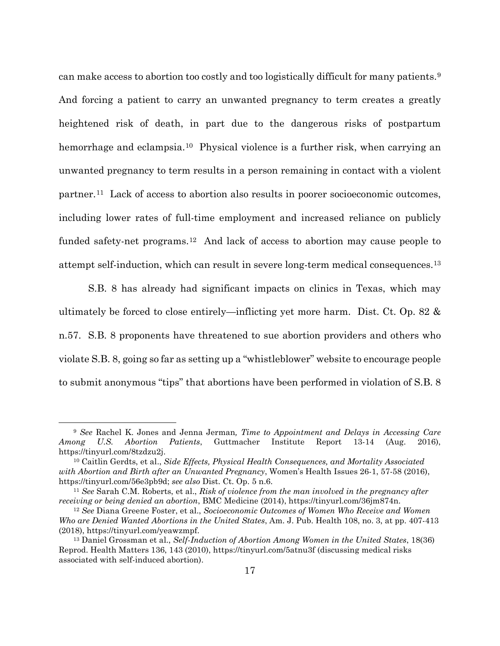can make access to abortion too costly and too logistically difficult for many patients.9 And forcing a patient to carry an unwanted pregnancy to term creates a greatly heightened risk of death, in part due to the dangerous risks of postpartum hemorrhage and eclampsia.<sup>10</sup> Physical violence is a further risk, when carrying an unwanted pregnancy to term results in a person remaining in contact with a violent partner.11 Lack of access to abortion also results in poorer socioeconomic outcomes, including lower rates of full-time employment and increased reliance on publicly funded safety-net programs.12 And lack of access to abortion may cause people to attempt self-induction, which can result in severe long-term medical consequences.13

S.B. 8 has already had significant impacts on clinics in Texas, which may ultimately be forced to close entirely—inflicting yet more harm. Dist. Ct. Op. 82 & n.57. S.B. 8 proponents have threatened to sue abortion providers and others who violate S.B. 8, going so far as setting up a "whistleblower" website to encourage people to submit anonymous "tips" that abortions have been performed in violation of S.B. 8

<sup>9</sup> *See* Rachel K. Jones and Jenna Jerman*, Time to Appointment and Delays in Accessing Care Among U.S. Abortion Patients*, Guttmacher Institute Report 13-14 (Aug. 2016), https://tinyurl.com/8tzdzu2j. 10 Caitlin Gerdts, et al., *Side Effects, Physical Health Consequences, and Mortality Associated* 

*with Abortion and Birth after an Unwanted Pregnancy*, Women's Health Issues 26-1, 57-58 (2016), https://tinyurl.com/56e3pb9d; *see also* Dist. Ct. Op. 5 n.6.

<sup>11</sup> *See* Sarah C.M. Roberts, et al., *Risk of violence from the man involved in the pregnancy after receiving or being denied an abortion*, BMC Medicine (2014), https://tinyurl.com/36jm874n.

<sup>12</sup> *See* Diana Greene Foster, et al., *Socioeconomic Outcomes of Women Who Receive and Women Who are Denied Wanted Abortions in the United States*, Am. J. Pub. Health 108, no. 3, at pp. 407-413 (2018), https://tinyurl.com/yeawzmpf.

<sup>13</sup> Daniel Grossman et al., *Self-Induction of Abortion Among Women in the United States*, 18(36) Reprod. Health Matters 136, 143 (2010), https://tinyurl.com/5atnu3f (discussing medical risks associated with self-induced abortion).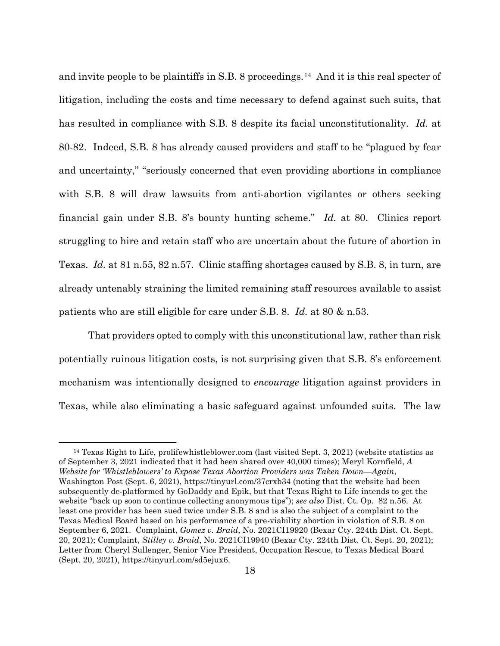and invite people to be plaintiffs in S.B. 8 proceedings.14 And it is this real specter of litigation, including the costs and time necessary to defend against such suits, that has resulted in compliance with S.B. 8 despite its facial unconstitutionality. *Id.* at 80-82. Indeed, S.B. 8 has already caused providers and staff to be "plagued by fear and uncertainty," "seriously concerned that even providing abortions in compliance with S.B. 8 will draw lawsuits from anti-abortion vigilantes or others seeking financial gain under S.B. 8's bounty hunting scheme." *Id.* at 80. Clinics report struggling to hire and retain staff who are uncertain about the future of abortion in Texas. *Id.* at 81 n.55, 82 n.57. Clinic staffing shortages caused by S.B. 8, in turn, are already untenably straining the limited remaining staff resources available to assist patients who are still eligible for care under S.B. 8. *Id.* at 80 & n.53.

That providers opted to comply with this unconstitutional law, rather than risk potentially ruinous litigation costs, is not surprising given that S.B. 8's enforcement mechanism was intentionally designed to *encourage* litigation against providers in Texas, while also eliminating a basic safeguard against unfounded suits. The law

<sup>14</sup> Texas Right to Life, prolifewhistleblower.com (last visited Sept. 3, 2021) (website statistics as of September 3, 2021 indicated that it had been shared over 40,000 times); Meryl Kornfield, *A Website for 'Whistleblowers' to Expose Texas Abortion Providers was Taken Down—Again*, Washington Post (Sept. 6, 2021), https://tinyurl.com/37crxb34 (noting that the website had been subsequently de-platformed by GoDaddy and Epik, but that Texas Right to Life intends to get the website "back up soon to continue collecting anonymous tips"); *see also* Dist. Ct. Op. 82 n.56. At least one provider has been sued twice under S.B. 8 and is also the subject of a complaint to the Texas Medical Board based on his performance of a pre-viability abortion in violation of S.B. 8 on September 6, 2021. Complaint, *Gomez v. Braid*, No. 2021CI19920 (Bexar Cty. 224th Dist. Ct. Sept. 20, 2021); Complaint, *Stilley v. Braid*, No. 2021CI19940 (Bexar Cty. 224th Dist. Ct. Sept. 20, 2021); Letter from Cheryl Sullenger, Senior Vice President, Occupation Rescue, to Texas Medical Board (Sept. 20, 2021), https://tinyurl.com/sd5ejux6.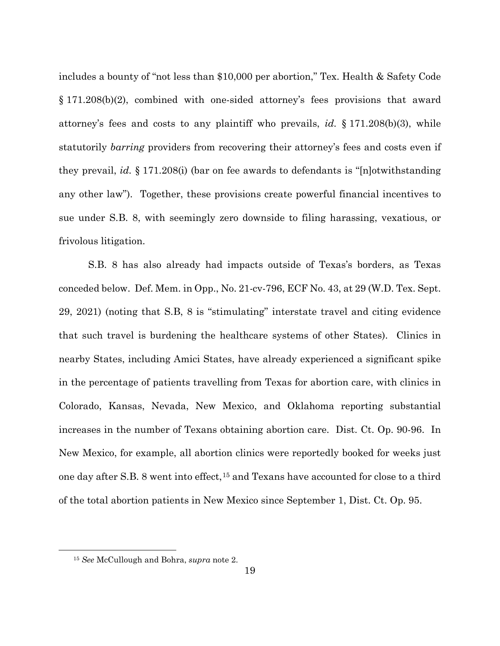includes a bounty of "not less than \$10,000 per abortion," Tex. Health & Safety Code § 171.208(b)(2), combined with one-sided attorney's fees provisions that award attorney's fees and costs to any plaintiff who prevails, *id.* § 171.208(b)(3), while statutorily *barring* providers from recovering their attorney's fees and costs even if they prevail, *id.* § 171.208(i) (bar on fee awards to defendants is "[n]otwithstanding any other law"). Together, these provisions create powerful financial incentives to sue under S.B. 8, with seemingly zero downside to filing harassing, vexatious, or frivolous litigation.

S.B. 8 has also already had impacts outside of Texas's borders, as Texas conceded below. Def. Mem. in Opp., No. 21-cv-796, ECF No. 43, at 29 (W.D. Tex. Sept. 29, 2021) (noting that S.B, 8 is "stimulating" interstate travel and citing evidence that such travel is burdening the healthcare systems of other States). Clinics in nearby States, including Amici States, have already experienced a significant spike in the percentage of patients travelling from Texas for abortion care, with clinics in Colorado, Kansas, Nevada, New Mexico, and Oklahoma reporting substantial increases in the number of Texans obtaining abortion care. Dist. Ct. Op. 90-96. In New Mexico, for example, all abortion clinics were reportedly booked for weeks just one day after S.B. 8 went into effect,15 and Texans have accounted for close to a third of the total abortion patients in New Mexico since September 1, Dist. Ct. Op. 95.

<sup>15</sup> *See* McCullough and Bohra, *supra* note 2.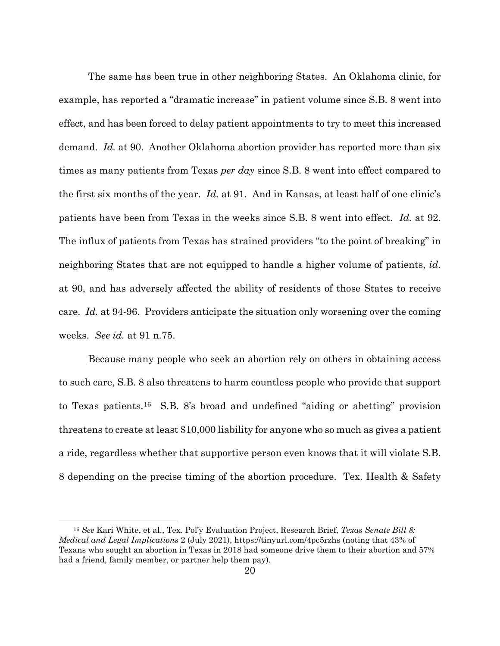The same has been true in other neighboring States. An Oklahoma clinic, for example, has reported a "dramatic increase" in patient volume since S.B. 8 went into effect, and has been forced to delay patient appointments to try to meet this increased demand. *Id.* at 90. Another Oklahoma abortion provider has reported more than six times as many patients from Texas *per day* since S.B. 8 went into effect compared to the first six months of the year. *Id.* at 91. And in Kansas, at least half of one clinic's patients have been from Texas in the weeks since S.B. 8 went into effect. *Id.* at 92. The influx of patients from Texas has strained providers "to the point of breaking" in neighboring States that are not equipped to handle a higher volume of patients, *id.* at 90, and has adversely affected the ability of residents of those States to receive care. *Id.* at 94-96. Providers anticipate the situation only worsening over the coming weeks. *See id.* at 91 n.75.

Because many people who seek an abortion rely on others in obtaining access to such care, S.B. 8 also threatens to harm countless people who provide that support to Texas patients.16 S.B. 8's broad and undefined "aiding or abetting" provision threatens to create at least \$10,000 liability for anyone who so much as gives a patient a ride, regardless whether that supportive person even knows that it will violate S.B. 8 depending on the precise timing of the abortion procedure. Tex. Health & Safety

<sup>16</sup> *See* Kari White, et al., Tex. Pol'y Evaluation Project, Research Brief, *Texas Senate Bill 8: Medical and Legal Implications* 2 (July 2021), https://tinyurl.com/4pc5rzhs (noting that 43% of Texans who sought an abortion in Texas in 2018 had someone drive them to their abortion and 57% had a friend, family member, or partner help them pay).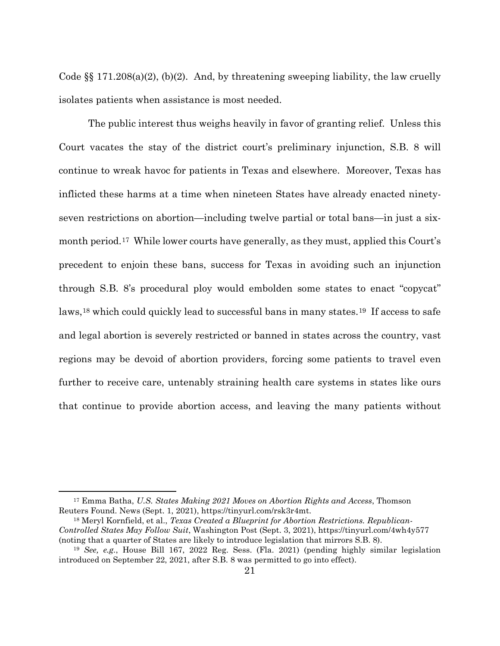Code  $\S$  171.208(a)(2), (b)(2). And, by threatening sweeping liability, the law cruelly isolates patients when assistance is most needed.

The public interest thus weighs heavily in favor of granting relief. Unless this Court vacates the stay of the district court's preliminary injunction, S.B. 8 will continue to wreak havoc for patients in Texas and elsewhere. Moreover, Texas has inflicted these harms at a time when nineteen States have already enacted ninetyseven restrictions on abortion—including twelve partial or total bans—in just a sixmonth period.17 While lower courts have generally, as they must, applied this Court's precedent to enjoin these bans, success for Texas in avoiding such an injunction through S.B. 8's procedural ploy would embolden some states to enact "copycat" laws,<sup>18</sup> which could quickly lead to successful bans in many states.<sup>19</sup> If access to safe and legal abortion is severely restricted or banned in states across the country, vast regions may be devoid of abortion providers, forcing some patients to travel even further to receive care, untenably straining health care systems in states like ours that continue to provide abortion access, and leaving the many patients without

<sup>17</sup> Emma Batha, *U.S. States Making 2021 Moves on Abortion Rights and Access*, Thomson Reuters Found. News (Sept. 1, 2021), https://tinyurl.com/rsk3r4mt.

<sup>18</sup> Meryl Kornfield, et al., *Texas Created a Blueprint for Abortion Restrictions. Republican-Controlled States May Follow Suit*, Washington Post (Sept. 3, 2021), https://tinyurl.com/4wh4y577 (noting that a quarter of States are likely to introduce legislation that mirrors S.B. 8).

<sup>19</sup> *See, e.g.*, House Bill 167, 2022 Reg. Sess. (Fla. 2021) (pending highly similar legislation introduced on September 22, 2021, after S.B. 8 was permitted to go into effect).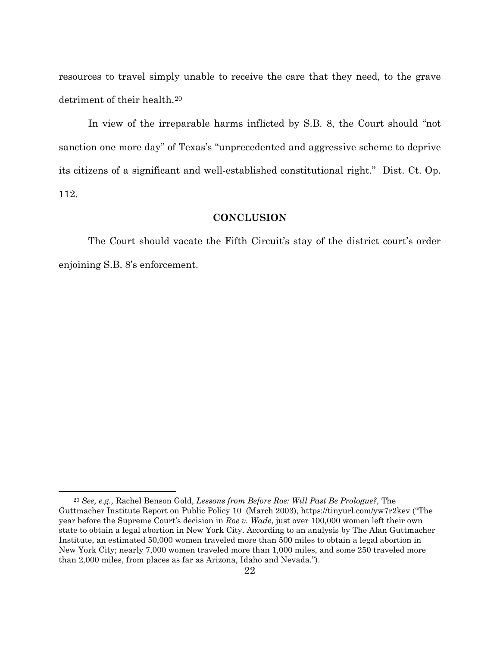resources to travel simply unable to receive the care that they need, to the grave detriment of their health.<sup>20</sup>

In view of the irreparable harms inflicted by S.B. 8, the Court should "not sanction one more day" of Texas's "unprecedented and aggressive scheme to deprive its citizens of a significant and well-established constitutional right." Dist. Ct. Op. 112.

### **CONCLUSION**

The Court should vacate the Fifth Circuit's stay of the district court's order enjoining S.B. 8's enforcement.

<sup>20</sup> *See, e.g.,* Rachel Benson Gold, *Lessons from Before Roe: Will Past Be Prologue?,* The Guttmacher Institute Report on Public Policy 10 (March 2003), https://tinyurl.com/yw7r2kev ("The year before the Supreme Court's decision in *Roe v. Wade*, just over 100,000 women left their own state to obtain a legal abortion in New York City. According to an analysis by The Alan Guttmacher Institute, an estimated 50,000 women traveled more than 500 miles to obtain a legal abortion in New York City; nearly 7,000 women traveled more than 1,000 miles, and some 250 traveled more than 2,000 miles, from places as far as Arizona, Idaho and Nevada.").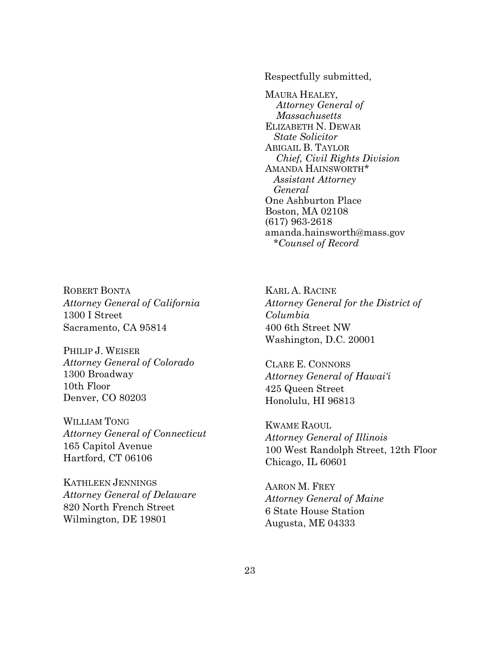Respectfully submitted,

MAURA HEALEY, *Attorney General of Massachusetts* ELIZABETH N. DEWAR  *State Solicitor* ABIGAIL B. TAYLOR *Chief, Civil Rights Division* AMANDA HAINSWORTH\* *Assistant Attorney General* One Ashburton Place Boston, MA 02108 (617) 963-2618 amanda.hainsworth@mass.gov  *\*Counsel of Record*

ROBERT BONTA *Attorney General of California*  1300 I Street Sacramento, CA 95814

PHILIP J. WEISER *Attorney General of Colorado* 1300 Broadway 10th Floor Denver, CO 80203

WILLIAM TONG *Attorney General of Connecticut* 165 Capitol Avenue Hartford, CT 06106

KATHLEEN JENNINGS *Attorney General of Delaware* 820 North French Street Wilmington, DE 19801

KARL A. RACINE *Attorney General for the District of Columbia*  400 6th Street NW Washington, D.C. 20001

CLARE E. CONNORS *Attorney General of Hawai'i* 425 Queen Street Honolulu, HI 96813

KWAME RAOUL *Attorney General of Illinois*  100 West Randolph Street, 12th Floor Chicago, IL 60601

AARON M. FREY *Attorney General of Maine* 6 State House Station Augusta, ME 04333